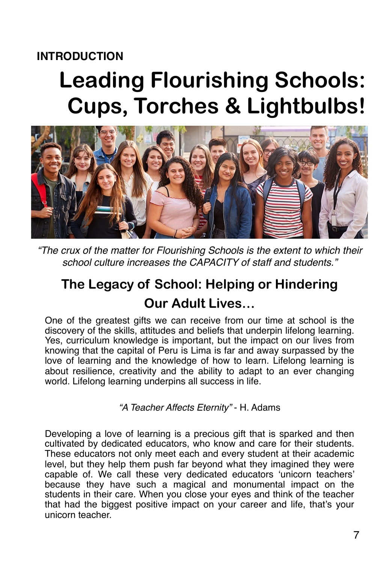### **INTRODUCTION**

# **Leading Flourishing Schools: Cups, Torches & Lightbulbs!**



*"The crux of the matter for Flourishing Schools is the extent to which their school culture increases the CAPACITY of staff and students."*

## **The Legacy of School: Helping or Hindering Our Adult Lives…**

One of the greatest gifts we can receive from our time at school is the discovery of the skills, attitudes and beliefs that underpin lifelong learning. Yes, curriculum knowledge is important, but the impact on our lives from knowing that the capital of Peru is Lima is far and away surpassed by the love of learning and the knowledge of how to learn. Lifelong learning is about resilience, creativity and the ability to adapt to an ever changing world. Lifelong learning underpins all success in life.

*"A Teacher Affects Eternity"* - H. Adams

Developing a love of learning is a precious gift that is sparked and then cultivated by dedicated educators, who know and care for their students. These educators not only meet each and every student at their academic level, but they help them push far beyond what they imagined they were capable of. We call these very dedicated educators 'unicorn teachers' because they have such a magical and monumental impact on the students in their care. When you close your eyes and think of the teacher that had the biggest positive impact on your career and life, that's your unicorn teacher.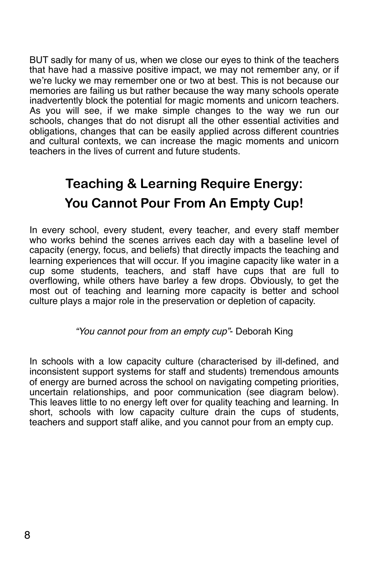BUT sadly for many of us, when we close our eyes to think of the teachers that have had a massive positive impact, we may not remember any, or if we're lucky we may remember one or two at best. This is not because our memories are failing us but rather because the way many schools operate inadvertently block the potential for magic moments and unicorn teachers. As you will see, if we make simple changes to the way we run our schools, changes that do not disrupt all the other essential activities and obligations, changes that can be easily applied across different countries and cultural contexts, we can increase the magic moments and unicorn teachers in the lives of current and future students.

# **Teaching & Learning Require Energy: You Cannot Pour From An Empty Cup!**

In every school, every student, every teacher, and every staff member who works behind the scenes arrives each day with a baseline level of capacity (energy, focus, and beliefs) that directly impacts the teaching and learning experiences that will occur. If you imagine capacity like water in a cup some students, teachers, and staff have cups that are full to overflowing, while others have barley a few drops. Obviously, to get the most out of teaching and learning more capacity is better and school culture plays a major role in the preservation or depletion of capacity.

#### *"You cannot pour from an empty cup"*- Deborah King

In schools with a low capacity culture (characterised by ill-defined, and inconsistent support systems for staff and students) tremendous amounts of energy are burned across the school on navigating competing priorities, uncertain relationships, and poor communication (see diagram below). This leaves little to no energy left over for quality teaching and learning. In short, schools with low capacity culture drain the cups of students, teachers and support staff alike, and you cannot pour from an empty cup.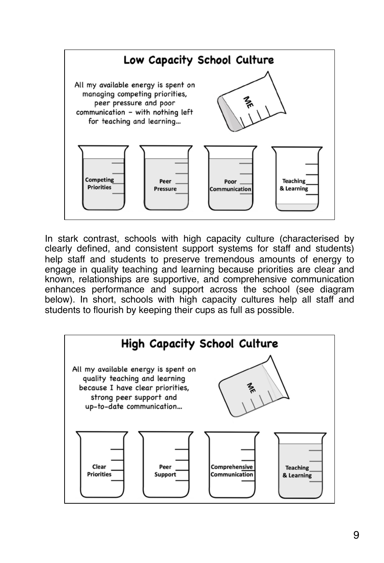

In stark contrast, schools with high capacity culture (characterised by clearly defined, and consistent support systems for staff and students) help staff and students to preserve tremendous amounts of energy to engage in quality teaching and learning because priorities are clear and known, relationships are supportive, and comprehensive communication enhances performance and support across the school (see diagram below). In short, schools with high capacity cultures help all staff and students to flourish by keeping their cups as full as possible.

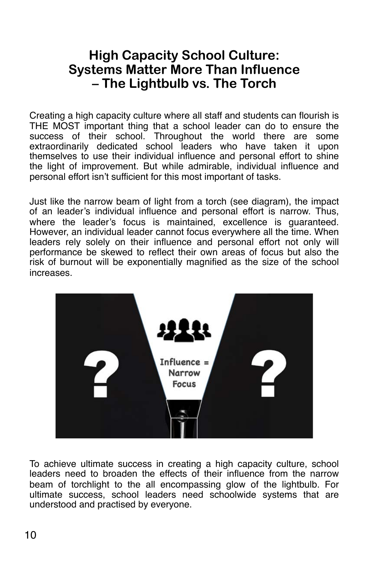### **High Capacity School Culture: Systems Matter More Than Influence – The Lightbulb vs. The Torch**

Creating a high capacity culture where all staff and students can flourish is THE MOST important thing that a school leader can do to ensure the success of their school. Throughout the world there are some extraordinarily dedicated school leaders who have taken it upon themselves to use their individual influence and personal effort to shine the light of improvement. But while admirable, individual influence and personal effort isn't sufficient for this most important of tasks.

Just like the narrow beam of light from a torch (see diagram), the impact of an leader's individual influence and personal effort is narrow. Thus, where the leader's focus is maintained, excellence is guaranteed. However, an individual leader cannot focus everywhere all the time. When leaders rely solely on their influence and personal effort not only will performance be skewed to reflect their own areas of focus but also the risk of burnout will be exponentially magnified as the size of the school increases.



To achieve ultimate success in creating a high capacity culture, school leaders need to broaden the effects of their influence from the narrow beam of torchlight to the all encompassing glow of the lightbulb. For ultimate success, school leaders need schoolwide systems that are understood and practised by everyone.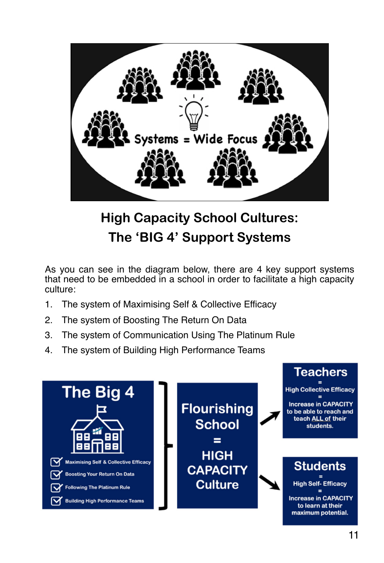

# **High Capacity School Cultures: The 'BIG 4' Support Systems**

As you can see in the diagram below, there are 4 key support systems that need to be embedded in a school in order to facilitate a high capacity culture:

- 1. The system of Maximising Self & Collective Efficacy
- 2. The system of Boosting The Return On Data
- 3. The system of Communication Using The Platinum Rule
- 4. The system of Building High Performance Teams